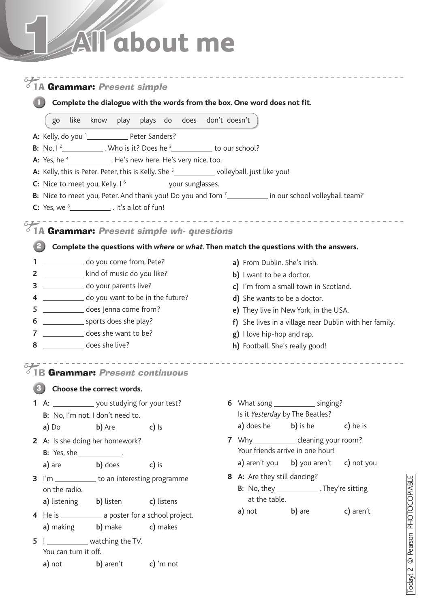# 1 **All about me**

|                                                           | <b>.</b><br>1A <b>Grammar:</b> Present simple                                                             |                                  |                     |                             |  |                                  |                                                        |               |                                                                                                                                |  |  |  |
|-----------------------------------------------------------|-----------------------------------------------------------------------------------------------------------|----------------------------------|---------------------|-----------------------------|--|----------------------------------|--------------------------------------------------------|---------------|--------------------------------------------------------------------------------------------------------------------------------|--|--|--|
|                                                           | Complete the dialogue with the words from the box. One word does not fit.                                 |                                  |                     |                             |  |                                  |                                                        |               |                                                                                                                                |  |  |  |
|                                                           | like<br>go                                                                                                | know                             | play                | plays do does don't doesn't |  |                                  |                                                        |               |                                                                                                                                |  |  |  |
|                                                           | A: Kelly, do you <sup>1</sup> __________________ Peter Sanders?                                           |                                  |                     |                             |  |                                  |                                                        |               |                                                                                                                                |  |  |  |
| <b>B:</b> No, $1^2$ Who is it? Does he $3$ to our school? |                                                                                                           |                                  |                     |                             |  |                                  |                                                        |               |                                                                                                                                |  |  |  |
|                                                           | A: Yes, he <sup>4</sup> ______________. He's new here. He's very nice, too.                               |                                  |                     |                             |  |                                  |                                                        |               |                                                                                                                                |  |  |  |
|                                                           | A: Kelly, this is Peter. Peter, this is Kelly. She <sup>5</sup> ______________ volleyball, just like you! |                                  |                     |                             |  |                                  |                                                        |               |                                                                                                                                |  |  |  |
|                                                           | C: Nice to meet you, Kelly. I <sup>6</sup> ______________ your sunglasses.                                |                                  |                     |                             |  |                                  |                                                        |               |                                                                                                                                |  |  |  |
|                                                           |                                                                                                           |                                  |                     |                             |  |                                  |                                                        |               | B: Nice to meet you, Peter. And thank you! Do you and Tom <sup>7</sup> <sub>_____________</sub> in our school volleyball team? |  |  |  |
|                                                           | C: Yes, we $8$ _______________. It's a lot of fun!                                                        |                                  |                     |                             |  |                                  |                                                        |               |                                                                                                                                |  |  |  |
|                                                           | 1A Grammar: Present simple wh- questions                                                                  |                                  |                     |                             |  |                                  |                                                        |               | ________________________________                                                                                               |  |  |  |
|                                                           |                                                                                                           |                                  |                     |                             |  |                                  |                                                        |               | Complete the questions with where or what. Then match the questions with the answers.                                          |  |  |  |
| 1                                                         | do you come from, Pete?                                                                                   |                                  |                     |                             |  |                                  | a) From Dublin. She's Irish.                           |               |                                                                                                                                |  |  |  |
| $\overline{2}$                                            | kind of music do you like?                                                                                |                                  |                     |                             |  |                                  | b) I want to be a doctor.                              |               |                                                                                                                                |  |  |  |
| 3                                                         |                                                                                                           | do your parents live?            |                     |                             |  |                                  | c) I'm from a small town in Scotland.                  |               |                                                                                                                                |  |  |  |
| 4                                                         |                                                                                                           | do you want to be in the future? |                     |                             |  |                                  | d) She wants to be a doctor.                           |               |                                                                                                                                |  |  |  |
| 5                                                         |                                                                                                           | does Jenna come from?            |                     |                             |  |                                  | e) They live in New York, in the USA.                  |               |                                                                                                                                |  |  |  |
| 6                                                         | sports does she play?                                                                                     |                                  |                     |                             |  |                                  | f) She lives in a village near Dublin with her family. |               |                                                                                                                                |  |  |  |
| 7                                                         | does she want to be?                                                                                      |                                  |                     |                             |  |                                  | g) I love hip-hop and rap.                             |               |                                                                                                                                |  |  |  |
| 8                                                         | does she live?                                                                                            |                                  |                     |                             |  |                                  | h) Football. She's really good!                        |               |                                                                                                                                |  |  |  |
|                                                           | <b>Grammar: Present continuous</b>                                                                        |                                  |                     |                             |  |                                  |                                                        |               |                                                                                                                                |  |  |  |
|                                                           | Choose the correct words.                                                                                 |                                  |                     |                             |  |                                  |                                                        |               |                                                                                                                                |  |  |  |
|                                                           | 1 A: ______________ you studying for your test?                                                           |                                  |                     |                             |  |                                  |                                                        |               | 6 What song ______________ singing?                                                                                            |  |  |  |
|                                                           | B: No, I'm not. I don't need to.                                                                          |                                  |                     |                             |  | Is it Yesterday by The Beatles?  |                                                        |               |                                                                                                                                |  |  |  |
|                                                           | <b>a)</b> Do <b>b)</b> Are                                                                                |                                  | $\overline{c}$ ) is |                             |  |                                  |                                                        |               | <b>a)</b> does he <b>b)</b> is he <b>c)</b> he is                                                                              |  |  |  |
|                                                           |                                                                                                           |                                  |                     |                             |  |                                  |                                                        |               | 7 Why _______________ cleaning your room?                                                                                      |  |  |  |
|                                                           | 2 A: Is she doing her homework?<br><b>B:</b> Yes, she ________________.                                   |                                  |                     |                             |  | Your friends arrive in one hour! |                                                        |               |                                                                                                                                |  |  |  |
|                                                           | a) are b) does                                                                                            |                                  |                     | c) is                       |  |                                  |                                                        |               | a) aren't you b) you aren't c) not you                                                                                         |  |  |  |
|                                                           |                                                                                                           |                                  |                     |                             |  |                                  |                                                        |               | 8 A: Are they still dancing?                                                                                                   |  |  |  |
|                                                           | 3 I'm _____________ to an interesting programme<br>on the radio.                                          |                                  |                     |                             |  |                                  |                                                        |               | <b>B:</b> No, they _____________. They're sitting                                                                              |  |  |  |
|                                                           | a) listening b) listen c) listens                                                                         |                                  |                     |                             |  |                                  |                                                        | at the table. |                                                                                                                                |  |  |  |
|                                                           | 4 He is _______________ a poster for a school project.                                                    |                                  |                     |                             |  |                                  |                                                        |               | a) not b) are c) aren't                                                                                                        |  |  |  |
|                                                           | a) making b) make c) makes                                                                                |                                  |                     |                             |  |                                  |                                                        |               |                                                                                                                                |  |  |  |
|                                                           |                                                                                                           |                                  |                     |                             |  |                                  |                                                        |               |                                                                                                                                |  |  |  |
|                                                           | 5   _____________ watching the TV.<br>You can turn it off.                                                |                                  |                     |                             |  |                                  |                                                        |               |                                                                                                                                |  |  |  |
|                                                           |                                                                                                           |                                  |                     |                             |  |                                  |                                                        |               |                                                                                                                                |  |  |  |
|                                                           | a) not b) aren't c) 'm not                                                                                |                                  |                     |                             |  |                                  |                                                        |               |                                                                                                                                |  |  |  |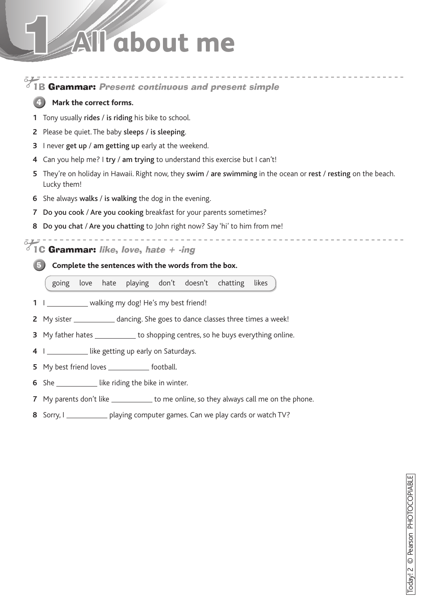### **All about me**



Sorry, I playing computer games. Can we play cards or watch TV?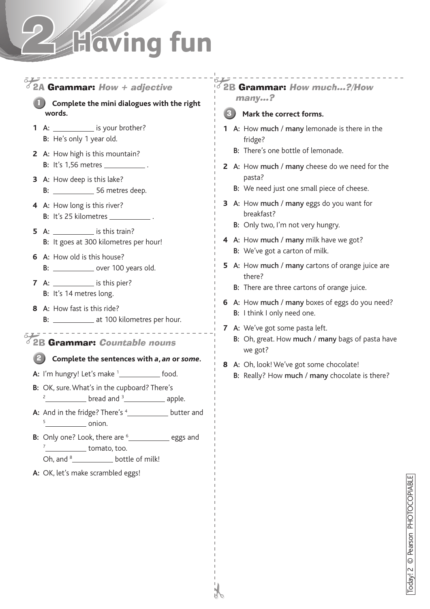## **Having fun**

#### $\bar{o}$  $10^6$  2B Grammar: How much...?/How 2A Grammar: How + adjective many…? 1 **Complete the mini dialogues with the right words. Mark the correct forms.** 3**1** A: \_\_\_\_\_\_\_\_\_\_\_ is your brother? **1** A: How much / many lemonade is there in the B: He's only 1 year old. fridge? B: There's one bottle of lemonade. **2** A: How high is this mountain? **B:** It's 1,56 metres \_\_\_\_\_\_\_\_\_\_\_\_. **2** A: How much / many cheese do we need for the pasta? **3** A: How deep is this lake? B: We need just one small piece of cheese. B: 56 metres deep. **3** A: How much / many eggs do you want for **4** A: How long is this river? breakfast? B: It's 25 kilometres \_ B: Only two, I'm not very hungry. **5** A: is this train? **4** A: How much / many milk have we got? B: It goes at 300 kilometres per hour! B: We've got a carton of milk. **6** A: How old is this house? **5** A: How much / many cartons of orange juice are **B:** \_\_\_\_\_\_\_\_\_\_\_\_\_ over 100 years old. there? **7** A: \_\_\_\_\_\_\_\_\_\_\_\_ is this pier? B: There are three cartons of orange juice. B: It's 14 metres long. **6** A: How much / many boxes of eggs do you need? **8** A: How fast is this ride? B: I think I only need one. B: \_\_\_\_\_\_\_\_\_\_\_\_\_\_\_ at 100 kilometres per hour. **7** A: We've got some pasta left. -------------------B: Oh, great. How much / many bags of pasta have  $\delta$  2B Grammar: Countable nouns we got? 2 **Complete the sentences with** *a***,** *an* **or** *some***. 8** A: Oh, look! We've got some chocolate! **A:** I'm hungry! Let's make <sup>1</sup><sub>1</sub> food. B: Really? How much / many chocolate is there? **B:** OK, sure. What's in the cupboard? There's  $2 \frac{2}{\sqrt{1 - \left(1 - \frac{1}{2}\right)} \cdot \left(1 - \frac{1}{2}\right)}$  bread and  $3 \frac{1}{\sqrt{1 - \left(1 - \frac{1}{2}\right)} \cdot \left(1 - \frac{1}{2}\right)}$  apple. **A:** And in the fridge? There's <sup>4</sup>  $5$  onion. **B:** Only one? Look, there are <sup>6</sup> eggs and  $\frac{7}{2}$  tomato, too. Oh, and <sup>8</sup>\_\_\_\_\_\_\_\_\_\_\_\_\_\_ bottle of milk!

Today! 2

©

Pearson PHOTOCOPIABLE

**A:** OK, let's make scrambled eggs!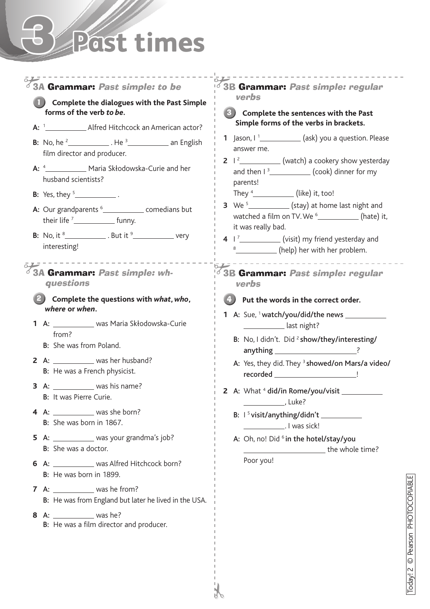## 3 **Past times**



Today! 2

©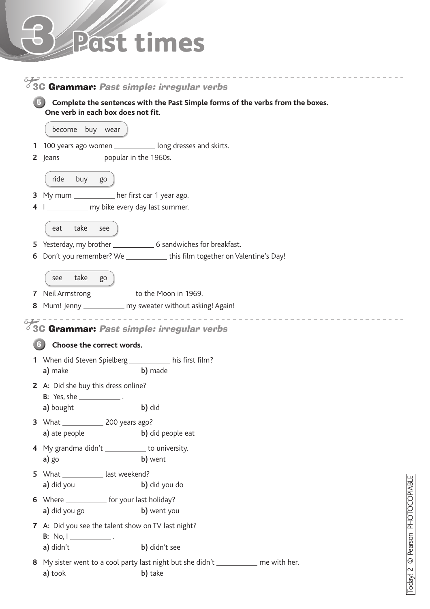## 3 **Past times**

|              |                                                                          | 3C Grammar: Past simple: irregular verbs                                                     |  |  |  |  |  |  |
|--------------|--------------------------------------------------------------------------|----------------------------------------------------------------------------------------------|--|--|--|--|--|--|
|              | One verb in each box does not fit.                                       | Complete the sentences with the Past Simple forms of the verbs from the boxes.               |  |  |  |  |  |  |
|              | become buy wear                                                          |                                                                                              |  |  |  |  |  |  |
| 1.           |                                                                          | 100 years ago women _____________ long dresses and skirts.                                   |  |  |  |  |  |  |
| $\mathsf{Z}$ | Jeans ________________ popular in the 1960s.                             |                                                                                              |  |  |  |  |  |  |
|              | ride buy go                                                              |                                                                                              |  |  |  |  |  |  |
| 3            | My mum _____________ her first car 1 year ago.                           |                                                                                              |  |  |  |  |  |  |
| 4            | I ______________ my bike every day last summer.                          |                                                                                              |  |  |  |  |  |  |
|              | take<br>see<br>eat                                                       |                                                                                              |  |  |  |  |  |  |
| 5.           |                                                                          |                                                                                              |  |  |  |  |  |  |
| 6            |                                                                          | Don't you remember? We ______________ this film together on Valentine's Day!                 |  |  |  |  |  |  |
|              | take go<br>see                                                           |                                                                                              |  |  |  |  |  |  |
|              | 7 Neil Armstrong ___________ to the Moon in 1969.                        |                                                                                              |  |  |  |  |  |  |
| 8            |                                                                          | Mum! Jenny _____________ my sweater without asking! Again!                                   |  |  |  |  |  |  |
|              |                                                                          |                                                                                              |  |  |  |  |  |  |
|              |                                                                          | 3C Grammar: Past simple: irregular verbs                                                     |  |  |  |  |  |  |
|              | Choose the correct words.                                                |                                                                                              |  |  |  |  |  |  |
|              | 1 When did Steven Spielberg ________ his first film?                     |                                                                                              |  |  |  |  |  |  |
|              | a) make                                                                  | b) made                                                                                      |  |  |  |  |  |  |
|              | 2 A: Did she buy this dress online?                                      |                                                                                              |  |  |  |  |  |  |
|              | <b>B:</b> Yes, she _________________.                                    |                                                                                              |  |  |  |  |  |  |
|              | a) bought                                                                | b) did                                                                                       |  |  |  |  |  |  |
|              | a) ate people                                                            | b) did people eat                                                                            |  |  |  |  |  |  |
|              | 4 My grandma didn't ___________ to university.                           |                                                                                              |  |  |  |  |  |  |
|              | a) go                                                                    | b) went                                                                                      |  |  |  |  |  |  |
|              | 5 What ______________ last weekend?                                      |                                                                                              |  |  |  |  |  |  |
|              | a) did you                                                               | b) did you do                                                                                |  |  |  |  |  |  |
|              | 6 Where ______________ for your last holiday?                            |                                                                                              |  |  |  |  |  |  |
|              | a) did you go                                                            | b) went you                                                                                  |  |  |  |  |  |  |
|              | 7 A: Did you see the talent show on TV last night?<br><b>B:</b> No, $I_$ |                                                                                              |  |  |  |  |  |  |
|              | a) didn't                                                                | b) didn't see                                                                                |  |  |  |  |  |  |
| 8.           | a) took                                                                  | My sister went to a cool party last night but she didn't ___________ me with her.<br>b) take |  |  |  |  |  |  |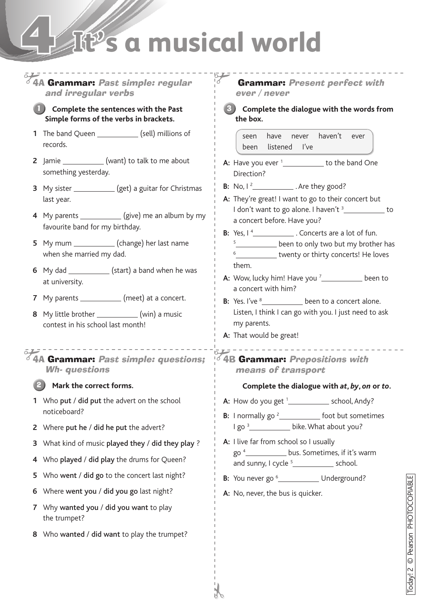### 4 **It's a musical world**

#### 575-------------<br>64A Grammar: Past simple: regular Grammar: Present perfect with and irregular verbs ever / never **Complete the sentences with the Past Complete the dialogue with the words from**  1 3**Simple forms of the verbs in brackets. the box. 1** The band Queen \_\_\_\_\_\_\_\_\_\_\_\_\_ (sell) millions of seen have never haven't ever records. been listened I've **2** Jamie \_\_\_\_\_\_\_\_\_\_\_\_\_(want) to talk to me about **A:** Have you ever <sup>1</sup><sub>\_\_\_\_\_\_\_\_\_\_</sub> to the band One something yesterday. Direction? **B:** No,  $\left| \frac{2}{2} \right|$ . Are they good? **3** My sister \_\_\_\_\_\_\_\_\_\_\_\_(get) a guitar for Christmas **A:** They're great! I want to go to their concert but last year. I don't want to go alone. I haven't  $\frac{3}{2}$  to **4** My parents \_\_\_\_\_\_\_\_\_\_\_\_ (give) me an album by my a concert before. Have you? favourite band for my birthday. **B:** Yes,  $1^4$  . Concerts are a lot of fun. **5** My mum (change) her last name **5 been to only two but my brother has** when she married my dad. <sup>6</sup> twenty or thirty concerts! He loves them. **6** My dad \_\_\_\_\_\_\_\_\_\_\_\_\_\_\_(start) a band when he was **A:** Wow, lucky him! Have you <sup>7</sup>\_\_\_\_\_\_\_\_\_\_\_\_ been to at university. a concert with him? **7** My parents (meet) at a concert. **B:** Yes. I've <sup>8</sup> been to a concert alone. **8** My little brother (win) a music Listen, I think I can go with you. I just need to ask contest in his school last month! my parents. **A:** That would be great! . . . . . . . . . . . . . . . .  $\delta$  4B Grammar: Prepositions with  $64A$  Grammar: Past simple: questions; Wh- questions means of transport **Mark the correct forms. Complete the dialogue with** *at***,** *by***,** *on* **or** *to***.** 2 **1** Who put / did put the advert on the school **A:** How do you get <sup>1</sup><sub>\_\_\_\_\_\_\_\_\_\_\_\_\_\_\_\_\_\_\_\_ school, Andy?</sub> noticeboard? **B:** I normally go  $2$  foot but sometimes I go <sup>3</sup> bike. What about you? **2** Where put he / did he put the advert? **A:** I live far from school so I usually **3** What kind of music played they / did they play ? go  $4$  bus. Sometimes, if it's warm **4** Who played / did play the drums for Queen? and sunny,  $I$  cycle  $5$  school. **5** Who went / did go to the concert last night? **B:** You never go <sup>6</sup> \_\_\_\_\_\_\_\_\_\_\_ Underground? **6** Where went you / did you go last night? **A:** No, never, the bus is quicker. **7** Why wanted you / did you want to play the trumpet? **8** Who wanted / did want to play the trumpet?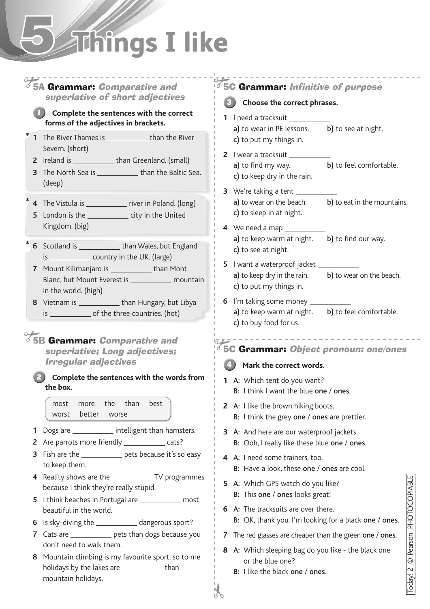# 5 **Things I like**

### 5A Grammar: Comparative and superlative of short adjectives

#### **Complete the sentences with the correct**  1 **forms of the adjectives in brackets.**

- **1** The River Thames is than the River Severn. (short) **\***
	- **2** Ireland is \_\_\_\_\_\_\_\_\_\_\_\_\_\_\_\_ than Greenland. (small)
	- **3** The North Sea is \_\_\_\_\_\_\_\_\_\_\_\_\_ than the Baltic Sea. (deep)
- **4** The Vistula is \_\_\_\_\_\_\_\_\_\_\_\_\_\_ river in Poland. (long) **\***
	- **5** London is the city in the United Kingdom. (big)
- **6** Scotland is \_\_\_\_\_\_\_\_\_\_\_\_\_\_\_ than Wales, but England is \_\_\_\_\_\_\_\_\_\_\_\_\_\_ country in the UK. (large) **\***
	- **7** Mount Kilimanjaro is **than Mont** Blanc, but Mount Everest is \_\_\_\_\_\_\_\_\_\_\_\_\_ mountain in the world. (high)
	- **8** Vietnam is \_\_\_\_\_\_\_\_\_\_\_\_\_\_\_ than Hungary, but Libya is \_\_\_\_\_\_\_\_\_\_\_\_\_\_\_\_ of the three countries. (hot)

**5B Grammar: Comparative and** superlative; Long adjectives; Irregular adjectives

#### **Complete the sentences with the words from**  2 **the box.**

most more the than best worst better worse

- **1** Dogs are **intelligent than hamsters.**
- **2** Are parrots more friendly \_\_\_\_\_\_\_\_\_\_\_ cats?
- **3** Fish are the **pets** because it's so easy to keep them.
- **4** Reality shows are the TV programmes because I think they're really stupid.
- **5** I think beaches in Portugal are \_\_\_\_\_\_\_\_\_\_\_ most beautiful in the world.
- **6** Is sky-diving the \_\_\_\_\_\_\_\_\_\_\_\_\_\_\_ dangerous sport?
- **7** Cats are \_\_\_\_\_\_\_\_\_\_\_\_ pets than dogs because you don't need to walk them.
- **8** Mountain climbing is my favourite sport, so to me holidays by the lakes are \_\_\_\_\_\_\_\_\_\_\_\_\_\_ than mountain holidays.

### 5C Grammar: Infinitive of purpose

#### **Choose the correct phrases.** 3

- **1** I need a tracksuit
	- a) to wear in PE lessons. b) to see at night. c) to put my things in.
- **2** I wear a tracksuit a) to find my way. b) to feel comfortable. c) to keep dry in the rain.
- **3** We're taking a tent  $a)$  to wear on the beach.  $b)$  to eat in the mountains. c) to sleep in at night.
- **4** We need a map a) to keep warm at night.  $\blacksquare$  b) to find our way. c) to see at night.
- **5** I want a waterproof jacket \_ a) to keep dry in the rain.  $\mathbf{b}$  to wear on the beach. c) to put my things in.
- **6** I'm taking some money a) to keep warm at night.  $\blacksquare$  b) to feel comfortable. c) to buy food for us.

### 5C Grammar: Object pronoun: one/ones

\_\_\_\_\_\_\_\_\_\_\_\_\_\_\_\_\_\_\_

### **Mark the correct words.** 4

- **1** A: Which tent do you want? B: I think I want the blue one / ones.
- **2** A: I like the brown hiking boots. B: I think the grey one / ones are prettier.
- **3** A: And here are our waterproof jackets. B: Ooh, I really like these blue one / ones.
- **4** A: I need some trainers, too. B: Have a look, these one / ones are cool.
- **5** A: Which GPS watch do you like? B: This one / ones looks great!
- **6** A: The tracksuits are over there. B: OK, thank you. I'm looking for a black one / ones.
- **7** The red glasses are cheaper than the green one / ones.
- **8** A: Which sleeping bag do you like the black one or the blue one?
	- B: I like the black one / ones.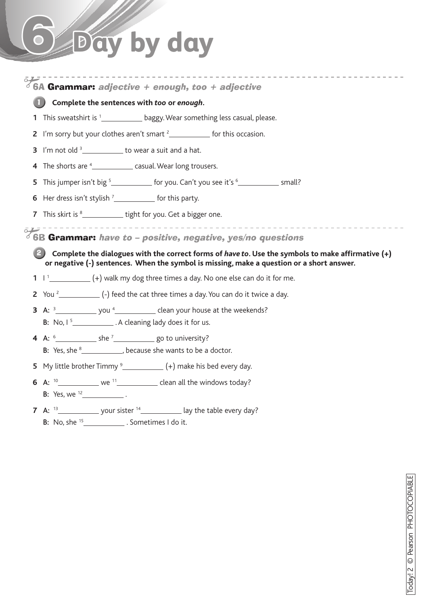# 6 **Day by day**

#### 6A Grammar: adjective  $+$  enough, too  $+$  adjective

#### **Complete the sentences with** *too* **or** *enough***.** 1

- **1** This sweatshirt is <sup>1</sup> baggy. Wear something less casual, please.
- **2** I'm sorry but your clothes aren't smart  $\frac{2}{2}$  for this occasion.
- **3** I'm not old  $\frac{3}{2}$  to wear a suit and a hat.
- **4** The shorts are <sup>4</sup> \_\_\_\_\_\_\_\_\_\_\_\_\_ casual. Wear long trousers.
- **5** This jumper isn't big <sup>5</sup>\_\_\_\_\_\_\_\_\_\_\_\_ for you. Can't you see it's <sup>6</sup>\_\_\_\_\_\_\_\_\_\_\_\_ small?
- **6** Her dress isn't stylish  $\frac{7}{2}$  for this party.
- **7** This skirt is <sup>8</sup> tight for you. Get a bigger one.

6B Grammar: have to – positive, negative, yes/no questions

#### **2** Complete the dialogues with the correct forms of *have to*. Use the symbols to make affirmative (+) **or negative (-) sentences. When the symbol is missing, make a question or a short answer.**

- **1**  $\frac{1}{2}$   $\frac{1}{2}$  (+) walk my dog three times a day. No one else can do it for me.
- **2** You 2 (-) feed the cat three times a day. You can do it twice a day.
- **3** A:  $\frac{3}{2}$   $\cdots$  you  $\frac{4}{2}$  clean your house at the weekends? **B:** No,  $1^5$   $\_\_\_\_\_\_\_\$ . A cleaning lady does it for us.
- **4** A:  $\frac{6}{3}$  she  $\frac{7}{3}$  go to university?
	- B: Yes, she  $8$  ,  $\frac{1}{2}$  , because she wants to be a doctor.
- **5** My little brother Timmy 9 (+) make his bed every day.
- **6** A:  $^{10}$  we  $^{11}$  clean all the windows today? B: Yes, we  $^{12}$  .
- **7** A:  $13$  your sister  $14$  ay the table every day? **B:** No, she  $15$  \_\_\_\_\_\_\_\_\_\_\_\_\_\_. Sometimes I do it.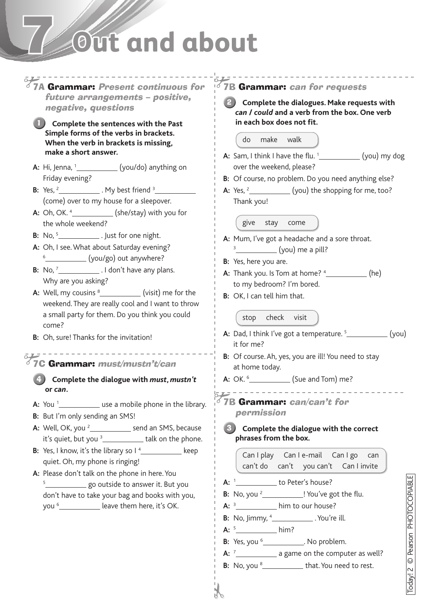### 7 **Out and about**



Today! 2 ©Pearson PHOTOCOPIABLE